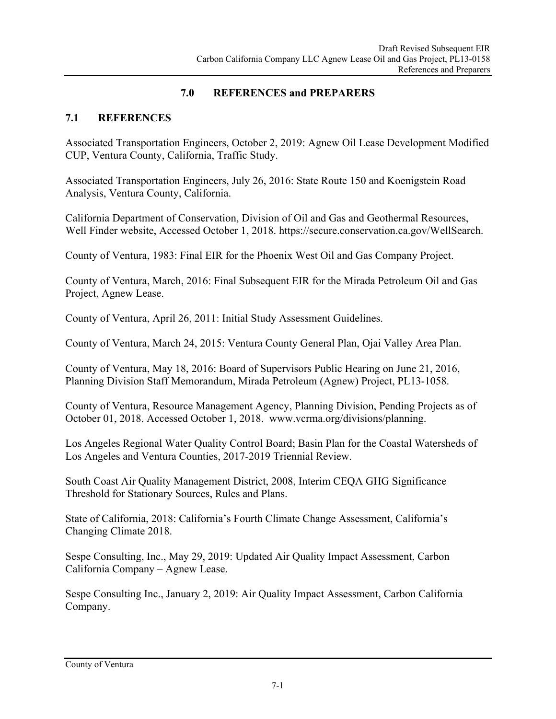## **7.0 REFERENCES and PREPARERS**

## **7.1 REFERENCES**

Associated Transportation Engineers, October 2, 2019: Agnew Oil Lease Development Modified CUP, Ventura County, California, Traffic Study.

Associated Transportation Engineers, July 26, 2016: State Route 150 and Koenigstein Road Analysis, Ventura County, California.

California Department of Conservation, Division of Oil and Gas and Geothermal Resources, Well Finder website, Accessed October 1, 2018. https://secure.conservation.ca.gov/WellSearch.

County of Ventura, 1983: Final EIR for the Phoenix West Oil and Gas Company Project.

County of Ventura, March, 2016: Final Subsequent EIR for the Mirada Petroleum Oil and Gas Project, Agnew Lease.

County of Ventura, April 26, 2011: Initial Study Assessment Guidelines.

County of Ventura, March 24, 2015: Ventura County General Plan, Ojai Valley Area Plan.

County of Ventura, May 18, 2016: Board of Supervisors Public Hearing on June 21, 2016, Planning Division Staff Memorandum, Mirada Petroleum (Agnew) Project, PL13-1058.

County of Ventura, Resource Management Agency, Planning Division, Pending Projects as of October 01, 2018. Accessed October 1, 2018. www.vcrma.org/divisions/planning.

Los Angeles Regional Water Quality Control Board; Basin Plan for the Coastal Watersheds of Los Angeles and Ventura Counties, 2017-2019 Triennial Review.

South Coast Air Quality Management District, 2008, Interim CEQA GHG Significance Threshold for Stationary Sources, Rules and Plans.

State of California, 2018: California's Fourth Climate Change Assessment, California's Changing Climate 2018.

Sespe Consulting, Inc., May 29, 2019: Updated Air Quality Impact Assessment, Carbon California Company – Agnew Lease.

Sespe Consulting Inc., January 2, 2019: Air Quality Impact Assessment, Carbon California Company.

County of Ventura